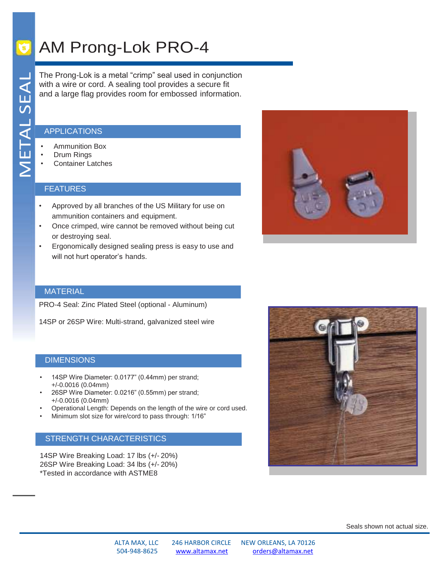

METAL SEAL METAL SEAL

# AM Prong-Lok PRO-4

The Prong-Lok is a metal "crimp" seal used in conjunction with a wire or cord. A sealing tool provides a secure fit and a large flag provides room for embossed information.

## APPLICATIONS

- Ammunition Box
- Drum Rings
- Container Latches

## **FEATURES**

- Approved by all branches of the US Military for use on ammunition containers and equipment.
- Once crimped, wire cannot be removed without being cut or destroying seal.
- Ergonomically designed sealing press is easy to use and will not hurt operator's hands.



## MATERIAL

PRO-4 Seal: Zinc Plated Steel (optional - Aluminum)

14SP or 26SP Wire: Multi-strand, galvanized steel wire

#### **DIMENSIONS**

- 14SP Wire Diameter: 0.0177" (0.44mm) per strand; +/-0.0016 (0.04mm)
- 26SP Wire Diameter: 0.0216" (0.55mm) per strand; +/-0.0016 (0.04mm)
- Operational Length: Depends on the length of the wire or cord used.
- Minimum slot size for wire/cord to pass through: 1/16"

### STRENGTH CHARACTERISTICS

14SP Wire Breaking Load: 17 lbs (+/- 20%) 26SP Wire Breaking Load: 34 lbs (+/- 20%) \*Tested in accordance with ASTME8



Seals shown not actual size.